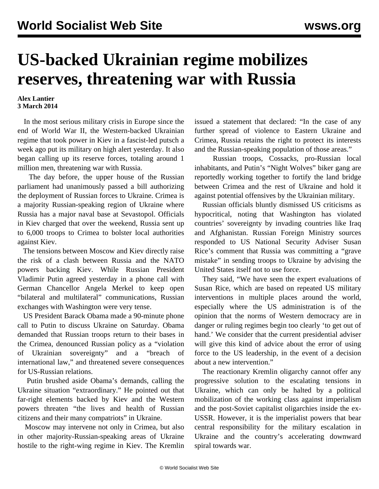## **US-backed Ukrainian regime mobilizes reserves, threatening war with Russia**

## **Alex Lantier 3 March 2014**

 In the most serious military crisis in Europe since the end of World War II, the Western-backed Ukrainian regime that took power in Kiev in a fascist-led putsch a week ago put its military on high alert yesterday. It also began calling up its reserve forces, totaling around 1 million men, threatening war with Russia.

 The day before, the upper house of the Russian parliament had unanimously passed a bill authorizing the deployment of Russian forces to Ukraine. Crimea is a majority Russian-speaking region of Ukraine where Russia has a major naval base at Sevastopol. Officials in Kiev charged that over the weekend, Russia sent up to 6,000 troops to Crimea to bolster local authorities against Kiev.

 The tensions between Moscow and Kiev directly raise the risk of a clash between Russia and the NATO powers backing Kiev. While Russian President Vladimir Putin agreed yesterday in a phone call with German Chancellor Angela Merkel to keep open "bilateral and multilateral" communications, Russian exchanges with Washington were very tense.

 US President Barack Obama made a 90-minute phone call to Putin to discuss Ukraine on Saturday. Obama demanded that Russian troops return to their bases in the Crimea, denounced Russian policy as a "violation of Ukrainian sovereignty" and a "breach of international law," and threatened severe consequences for US-Russian relations.

 Putin brushed aside Obama's demands, calling the Ukraine situation "extraordinary." He pointed out that far-right elements backed by Kiev and the Western powers threaten "the lives and health of Russian citizens and their many compatriots" in Ukraine.

 Moscow may intervene not only in Crimea, but also in other majority-Russian-speaking areas of Ukraine hostile to the right-wing regime in Kiev. The Kremlin issued a statement that declared: "In the case of any further spread of violence to Eastern Ukraine and Crimea, Russia retains the right to protect its interests and the Russian-speaking population of those areas."

 Russian troops, Cossacks, pro-Russian local inhabitants, and Putin's "Night Wolves" biker gang are reportedly working together to fortify the land bridge between Crimea and the rest of Ukraine and hold it against potential offensives by the Ukrainian military.

 Russian officials bluntly dismissed US criticisms as hypocritical, noting that Washington has violated countries' sovereignty by invading countries like Iraq and Afghanistan. Russian Foreign Ministry sources responded to US National Security Adviser Susan Rice's comment that Russia was committing a "grave mistake" in sending troops to Ukraine by advising the United States itself not to use force.

 They said, "We have seen the expert evaluations of Susan Rice, which are based on repeated US military interventions in multiple places around the world, especially where the US administration is of the opinion that the norms of Western democracy are in danger or ruling regimes begin too clearly 'to get out of hand.' We consider that the current presidential adviser will give this kind of advice about the error of using force to the US leadership, in the event of a decision about a new intervention."

 The reactionary Kremlin oligarchy cannot offer any progressive solution to the escalating tensions in Ukraine, which can only be halted by a political mobilization of the working class against imperialism and the post-Soviet capitalist oligarchies inside the ex-USSR. However, it is the imperialist powers that bear central responsibility for the military escalation in Ukraine and the country's accelerating downward spiral towards war.